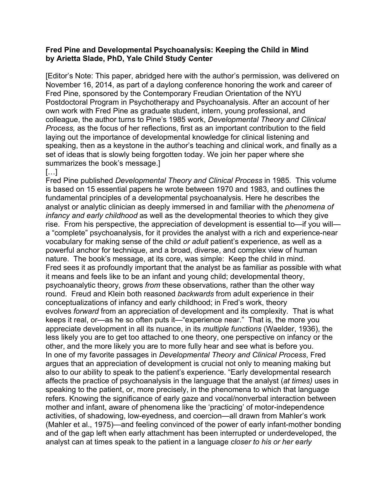#### **Fred Pine and Developmental Psychoanalysis: Keeping the Child in Mind by Arietta Slade, PhD, Yale Child Study Center**

[Editor's Note: This paper, abridged here with the author's permission, was delivered on November 16, 2014, as part of a daylong conference honoring the work and career of Fred Pine, sponsored by the Contemporary Freudian Orientation of the NYU Postdoctoral Program in Psychotherapy and Psychoanalysis. After an account of her own work with Fred Pine as graduate student, intern, young professional, and colleague, the author turns to Pine's 1985 work, *Developmental Theory and Clinical Process,* as the focus of her reflections, first as an important contribution to the field laying out the importance of developmental knowledge for clinical listening and speaking, then as a keystone in the author's teaching and clinical work, and finally as a set of ideas that is slowly being forgotten today. We join her paper where she summarizes the book's message.]

# […]

Fred Pine published *Developmental Theory and Clinical Process* in 1985*.* This volume is based on 15 essential papers he wrote between 1970 and 1983, and outlines the fundamental principles of a developmental psychoanalysis. Here he describes the analyst or analytic clinician as deeply immersed in and familiar with the *phenomena of infancy and early childhood* as well as the developmental theories to which they give rise. From his perspective, the appreciation of development is essential to—if you will a "complete" psychoanalysis, for it provides the analyst with a rich and experience-near vocabulary for making sense of the child *or adult* patient's experience, as well as a powerful anchor for technique, and a broad, diverse, and complex view of human nature. The book's message, at its core, was simple: Keep the child in mind. Fred sees it as profoundly important that the analyst be as familiar as possible with what it means and feels like to be an infant and young child; developmental theory, psychoanalytic theory, grows *from* these observations, rather than the other way round. Freud and Klein both reasoned *backwards* from adult experience in their conceptualizations of infancy and early childhood; in Fred's work, theory evolves *forward* from an appreciation of development and its complexity. That is what keeps it real, or—as he so often puts it—"experience near." That is, the more you appreciate development in all its nuance, in its *multiple functions* (Waelder, 1936), the less likely you are to get too attached to one theory, one perspective on infancy or the other, and the more likely you are to more fully hear and see what is before you. In one of my favorite passages in *Developmental Theory and Clinical Process*, Fred argues that an appreciation of development is crucial not only to meaning making but also to our ability to speak to the patient's experience. "Early developmental research affects the practice of psychoanalysis in the language that the analyst (*at times)* uses in speaking to the patient, or, more precisely, in the phenomena to which that language refers. Knowing the significance of early gaze and vocal/nonverbal interaction between mother and infant, aware of phenomena like the 'practicing' of motor-independence activities, of shadowing, low-eyedness, and coercion—all drawn from Mahler's work (Mahler et al., 1975)—and feeling convinced of the power of early infant-mother bonding and of the gap left when early attachment has been interrupted or underdeveloped, the analyst can at times speak to the patient in a language *closer to his or her early*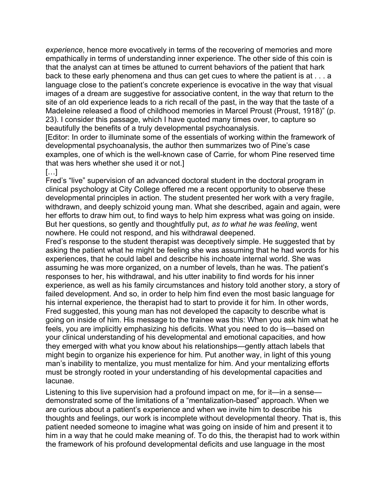*experience*, hence more evocatively in terms of the recovering of memories and more empathically in terms of understanding inner experience. The other side of this coin is that the analyst can at times be attuned to current behaviors of the patient that hark back to these early phenomena and thus can get cues to where the patient is at . . . a language close to the patient's concrete experience is evocative in the way that visual images of a dream are suggestive for associative content, in the way that return to the site of an old experience leads to a rich recall of the past, in the way that the taste of a Madeleine released a flood of childhood memories in Marcel Proust (Proust, 1918)" (p. 23). I consider this passage, which I have quoted many times over, to capture so beautifully the benefits of a truly developmental psychoanalysis.

[Editor: In order to illuminate some of the essentials of working within the framework of developmental psychoanalysis, the author then summarizes two of Pine's case examples, one of which is the well-known case of Carrie, for whom Pine reserved time that was hers whether she used it or not.]

## […]

Fred's "live" supervision of an advanced doctoral student in the doctoral program in clinical psychology at City College offered me a recent opportunity to observe these developmental principles in action. The student presented her work with a very fragile, withdrawn, and deeply schizoid young man. What she described, again and again, were her efforts to draw him out, to find ways to help him express what was going on inside. But her questions, so gently and thoughtfully put, *as to what he was feeling*, went nowhere. He could not respond, and his withdrawal deepened.

Fred's response to the student therapist was deceptively simple. He suggested that by asking the patient what he might be feeling she was assuming that he had words for his experiences, that he could label and describe his inchoate internal world. She was assuming he was more organized, on a number of levels, than he was. The patient's responses to her, his withdrawal, and his utter inability to find words for his inner experience, as well as his family circumstances and history told another story, a story of failed development. And so, in order to help him find even the most basic language for his internal experience, the therapist had to start to provide it for him. In other words, Fred suggested, this young man has not developed the capacity to describe what is going on inside of him. His message to the trainee was this: When you ask him what he feels, you are implicitly emphasizing his deficits. What you need to do is—based on your clinical understanding of his developmental and emotional capacities, and how they emerged with what you know about his relationships—gently attach labels that might begin to organize his experience for him. Put another way, in light of this young man's inability to mentalize, you must mentalize for him. And your mentalizing efforts must be strongly rooted in your understanding of his developmental capacities and lacunae.

Listening to this live supervision had a profound impact on me, for it—in a sense demonstrated some of the limitations of a "mentalization-based" approach. When we are curious about a patient's experience and when we invite him to describe his thoughts and feelings, our work is incomplete without developmental theory. That is, this patient needed someone to imagine what was going on inside of him and present it to him in a way that he could make meaning of. To do this, the therapist had to work within the framework of his profound developmental deficits and use language in the most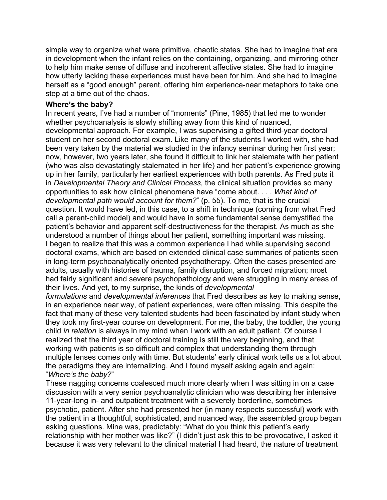simple way to organize what were primitive, chaotic states. She had to imagine that era in development when the infant relies on the containing, organizing, and mirroring other to help him make sense of diffuse and incoherent affective states. She had to imagine how utterly lacking these experiences must have been for him. And she had to imagine herself as a "good enough" parent, offering him experience-near metaphors to take one step at a time out of the chaos.

#### **Where's the baby?**

In recent years, I've had a number of "moments" (Pine, 1985) that led me to wonder whether psychoanalysis is slowly shifting away from this kind of nuanced, developmental approach. For example, I was supervising a gifted third-year doctoral student on her second doctoral exam. Like many of the students I worked with, she had been very taken by the material we studied in the infancy seminar during her first year; now, however, two years later, she found it difficult to link her stalemate with her patient (who was also devastatingly stalemated in her life) and her patient's experience growing up in her family, particularly her earliest experiences with both parents. As Fred puts it in *Developmental Theory and Clinical Process*, the clinical situation provides so many opportunities to ask how clinical phenomena have "come about. . . . *What kind of developmental path would account for them?*" (p. 55). To me, that is the crucial question. It would have led, in this case, to a shift in technique (coming from what Fred call a parent-child model) and would have in some fundamental sense demystified the patient's behavior and apparent self-destructiveness for the therapist. As much as she understood a number of things about her patient, something important was missing. I began to realize that this was a common experience I had while supervising second doctoral exams, which are based on extended clinical case summaries of patients seen in long-term psychoanalytically oriented psychotherapy. Often the cases presented are adults, usually with histories of trauma, family disruption, and forced migration; most had fairly significant and severe psychopathology and were struggling in many areas of their lives. And yet, to my surprise, the kinds of *developmental*

*formulations* and *developmental inferences* that Fred describes as key to making sense, in an experience near way, of patient experiences, were often missing. This despite the fact that many of these very talented students had been fascinated by infant study when they took my first-year course on development. For me, the baby, the toddler, the young child *in relation* is always in my mind when I work with an adult patient. Of course I realized that the third year of doctoral training is still the very beginning, and that working with patients is so difficult and complex that understanding them through multiple lenses comes only with time. But students' early clinical work tells us a lot about the paradigms they are internalizing. And I found myself asking again and again: "*Where's the baby?*"

These nagging concerns coalesced much more clearly when I was sitting in on a case discussion with a very senior psychoanalytic clinician who was describing her intensive 11-year-long in- and outpatient treatment with a severely borderline, sometimes psychotic, patient. After she had presented her (in many respects successful) work with the patient in a thoughtful, sophisticated, and nuanced way, the assembled group began asking questions. Mine was, predictably: "What do you think this patient's early relationship with her mother was like?" (I didn't just ask this to be provocative, I asked it because it was very relevant to the clinical material I had heard, the nature of treatment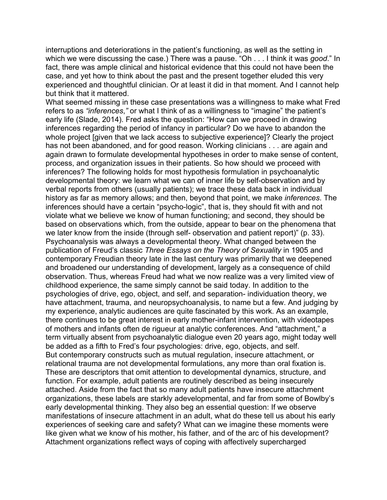interruptions and deteriorations in the patient's functioning, as well as the setting in which we were discussing the case.) There was a pause. "Oh . . . I think it was *good*." In fact, there was ample clinical and historical evidence that this could not have been the case, and yet how to think about the past and the present together eluded this very experienced and thoughtful clinician. Or at least it did in that moment. And I cannot help but think that it mattered.

What seemed missing in these case presentations was a willingness to make what Fred refers to as *"inferences*,*"* or what I think of as a willingness to "imagine" the patient's early life (Slade, 2014). Fred asks the question: "How can we proceed in drawing inferences regarding the period of infancy in particular? Do we have to abandon the whole project [given that we lack access to subjective experience]? Clearly the project has not been abandoned, and for good reason. Working clinicians . . . are again and again drawn to formulate developmental hypotheses in order to make sense of content, process, and organization issues in their patients. So how should we proceed with inferences? The following holds for most hypothesis formulation in psychoanalytic developmental theory: we learn what we can of inner life by self-observation and by verbal reports from others (usually patients); we trace these data back in individual history as far as memory allows; and then, beyond that point, we make *inferences*. The inferences should have a certain "psycho-logic", that is, they should fit with and not violate what we believe we know of human functioning; and second, they should be based on observations which, from the outside, appear to bear on the phenomena that we later know from the inside (through self- observation and patient report)" (p. 33). Psychoanalysis was always a developmental theory. What changed between the publication of Freud's classic *Three Essays on the Theory of Sexuality* in 1905 and contemporary Freudian theory late in the last century was primarily that we deepened and broadened our understanding of development, largely as a consequence of child observation. Thus, whereas Freud had what we now realize was a very limited view of childhood experience, the same simply cannot be said today. In addition to the psychologies of drive, ego, object, and self, and separation- individuation theory, we have attachment, trauma, and neuropsychoanalysis, to name but a few. And judging by my experience, analytic audiences are quite fascinated by this work. As an example, there continues to be great interest in early mother-infant intervention, with videotapes of mothers and infants often de rigueur at analytic conferences. And "attachment," a term virtually absent from psychoanalytic dialogue even 20 years ago, might today well be added as a fifth to Fred's four psychologies: drive, ego, objects, and self. But contemporary constructs such as mutual regulation, insecure attachment, or relational trauma are not developmental formulations, any more than oral fixation is. These are descriptors that omit attention to developmental dynamics, structure, and function. For example, adult patients are routinely described as being insecurely attached. Aside from the fact that so many adult patients have insecure attachment organizations, these labels are starkly adevelopmental, and far from some of Bowlby's early developmental thinking. They also beg an essential question: If we observe manifestations of insecure attachment in an adult, what do these tell us about his early experiences of seeking care and safety? What can we imagine these moments were like given what we know of his mother, his father, and of the arc of his development? Attachment organizations reflect ways of coping with affectively supercharged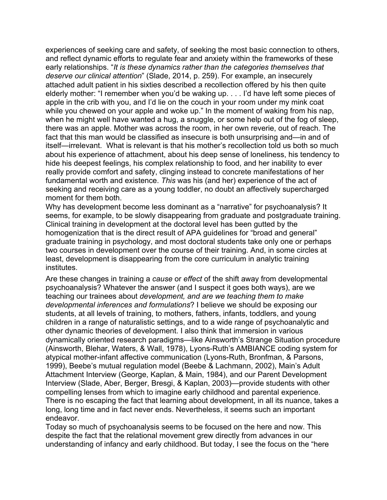experiences of seeking care and safety, of seeking the most basic connection to others, and reflect dynamic efforts to regulate fear and anxiety within the frameworks of these early relationships. "*It is these dynamics rather than the categories themselves that deserve our clinical attention*" (Slade, 2014, p. 259). For example, an insecurely attached adult patient in his sixties described a recollection offered by his then quite elderly mother: "I remember when you'd be waking up. . . . I'd have left some pieces of apple in the crib with you, and I'd lie on the couch in your room under my mink coat while you chewed on your apple and woke up." In the moment of waking from his nap, when he might well have wanted a hug, a snuggle, or some help out of the fog of sleep, there was an apple. Mother was across the room, in her own reverie, out of reach. The fact that this man would be classified as insecure is both unsurprising and—in and of itself—irrelevant. What is relevant is that his mother's recollection told us both so much about his experience of attachment, about his deep sense of loneliness, his tendency to hide his deepest feelings, his complex relationship to food, and her inability to ever really provide comfort and safety, clinging instead to concrete manifestations of her fundamental worth and existence. *This* was his (and her) experience of the act of seeking and receiving care as a young toddler, no doubt an affectively supercharged moment for them both.

Why has development become less dominant as a "narrative" for psychoanalysis? It seems, for example, to be slowly disappearing from graduate and postgraduate training. Clinical training in development at the doctoral level has been gutted by the homogenization that is the direct result of APA guidelines for "broad and general" graduate training in psychology, and most doctoral students take only one or perhaps two courses in development over the course of their training. And, in some circles at least, development is disappearing from the core curriculum in analytic training institutes.

Are these changes in training a *cause* or *effect* of the shift away from developmental psychoanalysis? Whatever the answer (and I suspect it goes both ways), are we teaching our trainees about *development, and are we teaching them to make developmental inferences and formulations*? I believe we should be exposing our students, at all levels of training, to mothers, fathers, infants, toddlers, and young children in a range of naturalistic settings, and to a wide range of psychoanalytic and other dynamic theories of development. I also think that immersion in various dynamically oriented research paradigms—like Ainsworth's Strange Situation procedure (Ainsworth, Blehar, Waters, & Wall, 1978), Lyons-Ruth's AMBIANCE coding system for atypical mother-infant affective communication (Lyons-Ruth, Bronfman, & Parsons, 1999), Beebe's mutual regulation model (Beebe & Lachmann, 2002), Main's Adult Attachment Interview (George, Kaplan, & Main, 1984), and our Parent Development Interview (Slade, Aber, Berger, Bresgi, & Kaplan, 2003)—provide students with other compelling lenses from which to imagine early childhood and parental experience. There is no escaping the fact that learning about development, in all its nuance, takes a long, long time and in fact never ends. Nevertheless, it seems such an important endeavor.

Today so much of psychoanalysis seems to be focused on the here and now. This despite the fact that the relational movement grew directly from advances in our understanding of infancy and early childhood. But today, I see the focus on the "here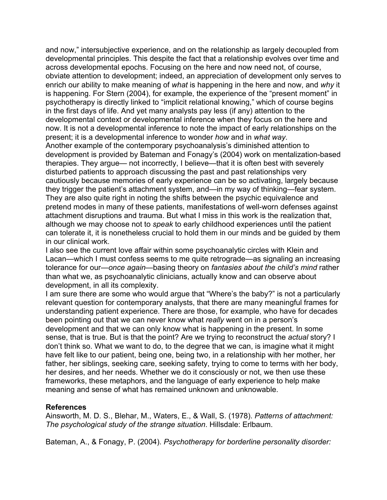and now," intersubjective experience, and on the relationship as largely decoupled from developmental principles. This despite the fact that a relationship evolves over time and across developmental epochs. Focusing on the here and now need not, of course, obviate attention to development; indeed, an appreciation of development only serves to enrich our ability to make meaning of *what* is happening in the here and now, and *why* it is happening. For Stern (2004), for example, the experience of the "present moment" in psychotherapy is directly linked to "implicit relational knowing," which of course begins in the first days of life. And yet many analysts pay less (if any) attention to the developmental context or developmental inference when they focus on the here and now. It is not a developmental inference to note the impact of early relationships on the present; it is a developmental inference to wonder *how* and in *what way*.

Another example of the contemporary psychoanalysis's diminished attention to development is provided by Bateman and Fonagy's (2004) work on mentalization-based therapies. They argue— not incorrectly, I believe—that it is often best with severely disturbed patients to approach discussing the past and past relationships very cautiously because memories of early experience can be so activating, largely because they trigger the patient's attachment system, and—in my way of thinking—fear system. They are also quite right in noting the shifts between the psychic equivalence and pretend modes in many of these patients, manifestations of well-worn defenses against attachment disruptions and trauma. But what I miss in this work is the realization that, although we may choose not to *speak* to early childhood experiences until the patient can tolerate it, it is nonetheless crucial to hold them in our minds and be guided by them in our clinical work.

I also see the current love affair within some psychoanalytic circles with Klein and Lacan—which I must confess seems to me quite retrograde—as signaling an increasing tolerance for our—*once again—*basing theory on *fantasies about the child's mind* rather than what we, as psychoanalytic clinicians, actually know and can observe about development, in all its complexity.

I am sure there are some who would argue that "Where's the baby?" is not a particularly relevant question for contemporary analysts, that there are many meaningful frames for understanding patient experience. There are those, for example, who have for decades been pointing out that we can never know what *really* went on in a person's development and that we can only know what is happening in the present. In some sense, that is true. But is that the point? Are we trying to reconstruct the *actual* story? I don't think so. What we want to do, to the degree that we can, is imagine what it might have felt like to our patient, being one, being two, in a relationship with her mother, her father, her siblings, seeking care, seeking safety, trying to come to terms with her body, her desires, and her needs. Whether we do it consciously or not, we then use these frameworks, these metaphors, and the language of early experience to help make meaning and sense of what has remained unknown and unknowable.

## **References**

Ainsworth, M. D. S., Blehar, M., Waters, E., & Wall, S. (1978). *Patterns of attachment: The psychological study of the strange situation*. Hillsdale: Erlbaum.

Bateman, A., & Fonagy, P. (2004). *Psychotherapy for borderline personality disorder:*